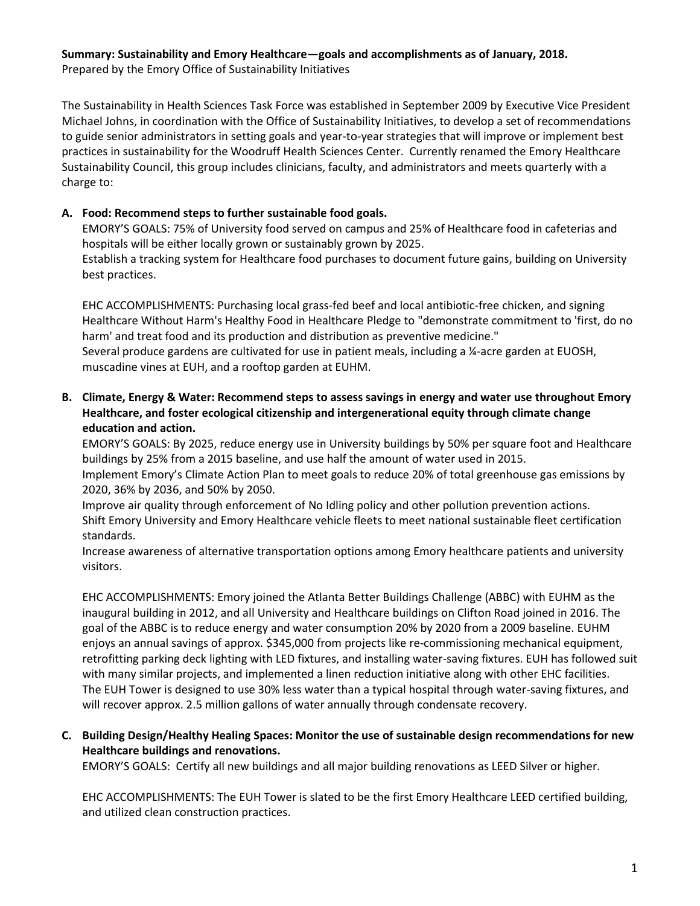## **Summary: Sustainability and Emory Healthcare—goals and accomplishments as of January, 2018.**

Prepared by the Emory Office of Sustainability Initiatives

The Sustainability in Health Sciences Task Force was established in September 2009 by Executive Vice President Michael Johns, in coordination with the Office of Sustainability Initiatives, to develop a set of recommendations to guide senior administrators in setting goals and year-to-year strategies that will improve or implement best practices in sustainability for the Woodruff Health Sciences Center. Currently renamed the Emory Healthcare Sustainability Council, this group includes clinicians, faculty, and administrators and meets quarterly with a charge to:

## **A. Food: Recommend steps to further sustainable food goals.**

EMORY'S GOALS: 75% of University food served on campus and 25% of Healthcare food in cafeterias and hospitals will be either locally grown or sustainably grown by 2025.

Establish a tracking system for Healthcare food purchases to document future gains, building on University best practices.

EHC ACCOMPLISHMENTS: Purchasing local grass-fed beef and local antibiotic-free chicken, and signing Healthcare Without Harm's Healthy Food in Healthcare Pledge to "demonstrate commitment to 'first, do no harm' and treat food and its production and distribution as preventive medicine." Several produce gardens are cultivated for use in patient meals, including a ¼-acre garden at EUOSH, muscadine vines at EUH, and a rooftop garden at EUHM.

## **B. Climate, Energy & Water: Recommend steps to assess savings in energy and water use throughout Emory Healthcare, and foster ecological citizenship and intergenerational equity through climate change education and action.**

EMORY'S GOALS: By 2025, reduce energy use in University buildings by 50% per square foot and Healthcare buildings by 25% from a 2015 baseline, and use half the amount of water used in 2015.

Implement Emory's Climate Action Plan to meet goals to reduce 20% of total greenhouse gas emissions by 2020, 36% by 2036, and 50% by 2050.

Improve air quality through enforcement of No Idling policy and other pollution prevention actions. Shift Emory University and Emory Healthcare vehicle fleets to meet national sustainable fleet certification standards.

Increase awareness of alternative transportation options among Emory healthcare patients and university visitors.

EHC ACCOMPLISHMENTS: Emory joined the Atlanta Better Buildings Challenge (ABBC) with EUHM as the inaugural building in 2012, and all University and Healthcare buildings on Clifton Road joined in 2016. The goal of the ABBC is to reduce energy and water consumption 20% by 2020 from a 2009 baseline. EUHM enjoys an annual savings of approx. \$345,000 from projects like re-commissioning mechanical equipment, retrofitting parking deck lighting with LED fixtures, and installing water-saving fixtures. EUH has followed suit with many similar projects, and implemented a linen reduction initiative along with other EHC facilities. The EUH Tower is designed to use 30% less water than a typical hospital through water-saving fixtures, and will recover approx. 2.5 million gallons of water annually through condensate recovery.

## **C. Building Design/Healthy Healing Spaces: Monitor the use of sustainable design recommendations for new Healthcare buildings and renovations.**

EMORY'S GOALS: Certify all new buildings and all major building renovations as LEED Silver or higher.

EHC ACCOMPLISHMENTS: The EUH Tower is slated to be the first Emory Healthcare LEED certified building, and utilized clean construction practices.